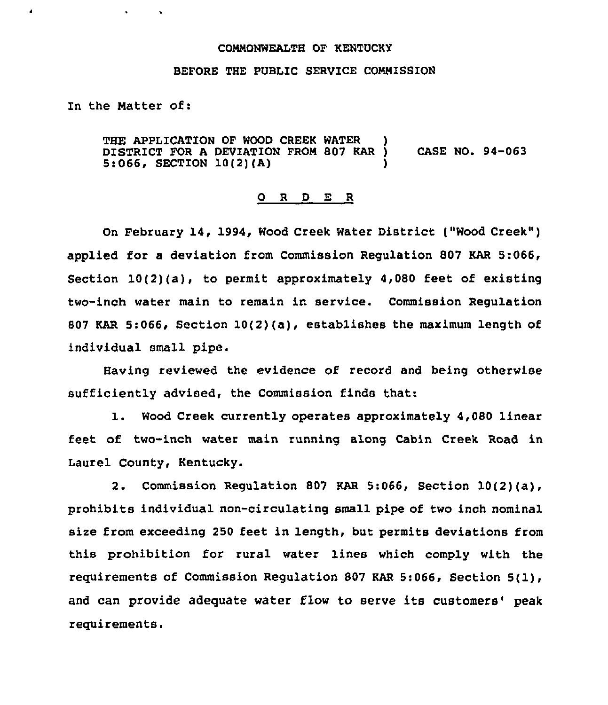## COMMONWEALTH OF KENTUCKY

## BEFORE THE PUBLIC SERVICE COMNZSSION

In the Natter of:

 $\lambda$ 

THE APPLICATION OF WOOD CREEK WATER DISTRICT FOR <sup>A</sup> DEVIATION FROM 802 KAR ) CASE NO. 94-063  $5:066$ , SECTION 10(2)(A)

## 0 <sup>R</sup> <sup>D</sup> E <sup>R</sup>

On February 14, 1994, Wood Creek Water District ("Wood Creek" ) applied for a deviation from Commission Regulation 807 KAR 5:066, Section  $10(2)(a)$ , to permit approximately 4,080 feet of existing two-inch water main to remain in service. Commission Regulation 807 KAR 5:066, Section 10(2)(a), establishes the maximum length of individual small pipe.

Having reviewed the evidence of record and being otherwise sufficiently advised, the Commission finds that:

1. Wood Creek currently operates approximately 4,080 linear feet of two-inch water main running along Cabin Creek Road in Laurel County, Kentucky.

2. Commission Regulation <sup>807</sup> KAR 5:066, Section 10(2)(a), prohibits individual non-circulating small pipe of two inch nominal size from exceeding 250 feet in length, but permits deviations from this prohibition for rural water lines which comply with the requirements of Commission Regulation 807 KAR 5:066, Section 5(1), and can provide adequate water flow to serve its customers' peak requirements.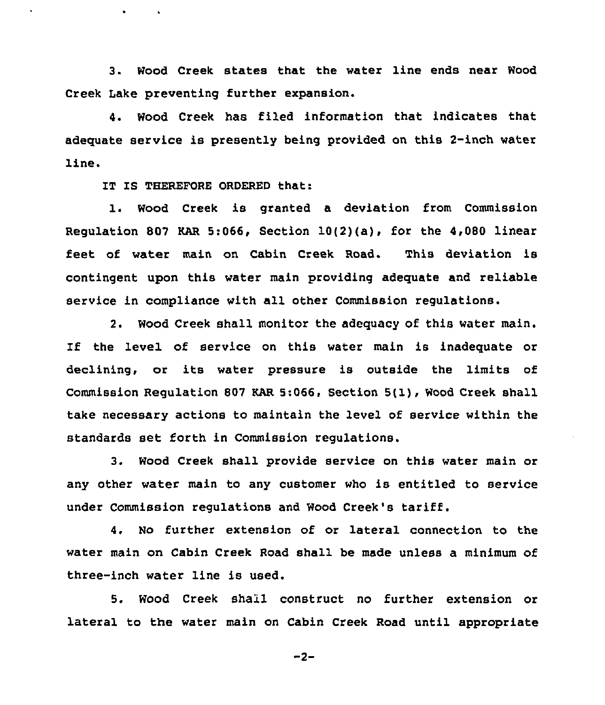3. Wood Creek states that the water line ends near Wood Creek Lake preventing further expansion.

4. Wood Creek has filed information that indicates that adequate service is presently being provided on this 2-inch water line.

IT IS THEREFORE ORDERED that:

1. Wood Creek is granted <sup>a</sup> deviation from Commission Regulation 807 KAR 5:066, Section 10(2)(a), for the 4,080 linear feet of water main on Cabin Creek Road. This deviation is contingent upon this water main providing adequate and reliable service in compliance with all other Commission regulations.

2. Wood Creek shall monitor the adequacy of this water main. If the level of service on this water main is inadequate or declining, or its water pressure is outside the limits of Commission Regulation <sup>807</sup> KAR 5:066, Section 5(l), Wood Creek shall take necessary actions to maintain the level of service within the standards set forth in Commission regulations.

3. Wood Creek shall provide service on this water main or any other water main to any customer who is entitled to service under Commission regulations and Wood Creek's tariff.

4. No further extension of or lateral connection to the water main on Cabin Creek Road shall be made unless a minimum of three-inch water line is used.

5. Wood Creek shall construct no further extension or lateral to the water main on Cabin Creek Road until appropriate

 $-2-$